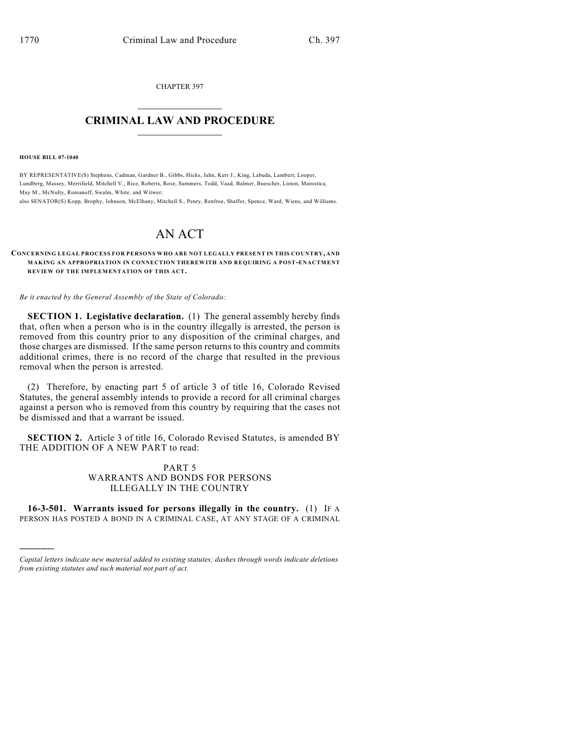CHAPTER 397  $\overline{\phantom{a}}$  . The set of the set of the set of the set of the set of the set of the set of the set of the set of the set of the set of the set of the set of the set of the set of the set of the set of the set of the set o

## **CRIMINAL LAW AND PROCEDURE**  $\frac{1}{2}$  ,  $\frac{1}{2}$  ,  $\frac{1}{2}$  ,  $\frac{1}{2}$  ,  $\frac{1}{2}$  ,  $\frac{1}{2}$  ,  $\frac{1}{2}$

**HOUSE BILL 07-1040**

)))))

BY REPRESENTATIVE(S) Stephens, Cadman, Gardner B., Gibbs, Hicks, Jahn, Kerr J., King, Labuda, Lambert, Looper, Lundberg, Massey, Merrifield, Mitchell V., Rice, Roberts, Rose, Summers, Todd, Vaad, Balmer, Buescher, Liston, Marostica, May M., McNulty, Romanoff, Swalm, White, and Witwer;

also SENATOR(S) Kopp, Brophy, Johnson, McElhany, Mitchell S., Penry, Renfroe, Shaffer, Spence, Ward, Wiens, and Williams.

# AN ACT

#### **CONCERNING LEGAL PROCESS FOR PERSONS WHO ARE NOT LEGALLY PRESENT IN THIS COUNTRY, AND MAKING AN APPROPRIATION IN CONNECTION THEREWITH AND REQUIRING A POST-ENACTMENT REVIEW OF THE IMPLEMENTATION OF THIS ACT.**

*Be it enacted by the General Assembly of the State of Colorado:*

**SECTION 1. Legislative declaration.** (1) The general assembly hereby finds that, often when a person who is in the country illegally is arrested, the person is removed from this country prior to any disposition of the criminal charges, and those charges are dismissed. If the same person returns to this country and commits additional crimes, there is no record of the charge that resulted in the previous removal when the person is arrested.

(2) Therefore, by enacting part 5 of article 3 of title 16, Colorado Revised Statutes, the general assembly intends to provide a record for all criminal charges against a person who is removed from this country by requiring that the cases not be dismissed and that a warrant be issued.

**SECTION 2.** Article 3 of title 16, Colorado Revised Statutes, is amended BY THE ADDITION OF A NEW PART to read:

> PART 5 WARRANTS AND BONDS FOR PERSONS ILLEGALLY IN THE COUNTRY

**16-3-501. Warrants issued for persons illegally in the country.** (1) IF A PERSON HAS POSTED A BOND IN A CRIMINAL CASE, AT ANY STAGE OF A CRIMINAL

*Capital letters indicate new material added to existing statutes; dashes through words indicate deletions from existing statutes and such material not part of act.*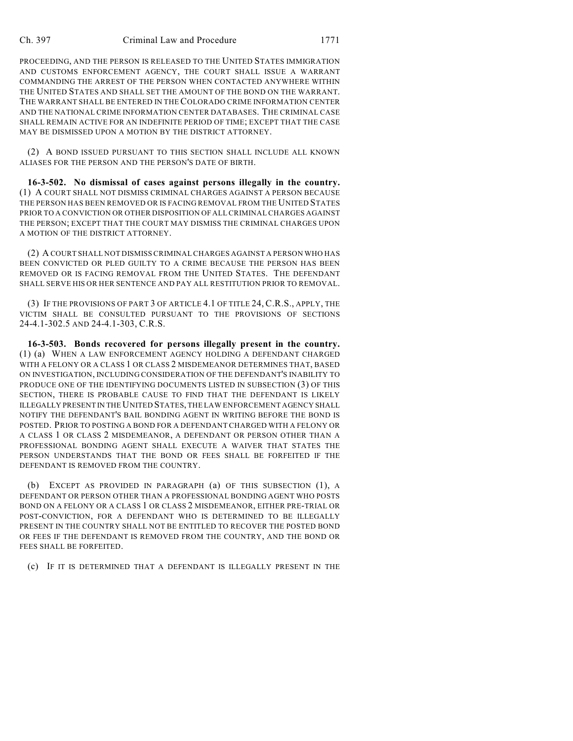#### Ch. 397 Criminal Law and Procedure 1771

PROCEEDING, AND THE PERSON IS RELEASED TO THE UNITED STATES IMMIGRATION AND CUSTOMS ENFORCEMENT AGENCY, THE COURT SHALL ISSUE A WARRANT COMMANDING THE ARREST OF THE PERSON WHEN CONTACTED ANYWHERE WITHIN THE UNITED STATES AND SHALL SET THE AMOUNT OF THE BOND ON THE WARRANT. THE WARRANT SHALL BE ENTERED IN THE COLORADO CRIME INFORMATION CENTER AND THE NATIONAL CRIME INFORMATION CENTER DATABASES. THE CRIMINAL CASE SHALL REMAIN ACTIVE FOR AN INDEFINITE PERIOD OF TIME; EXCEPT THAT THE CASE MAY BE DISMISSED UPON A MOTION BY THE DISTRICT ATTORNEY.

(2) A BOND ISSUED PURSUANT TO THIS SECTION SHALL INCLUDE ALL KNOWN ALIASES FOR THE PERSON AND THE PERSON'S DATE OF BIRTH.

**16-3-502. No dismissal of cases against persons illegally in the country.** (1) A COURT SHALL NOT DISMISS CRIMINAL CHARGES AGAINST A PERSON BECAUSE THE PERSON HAS BEEN REMOVED OR IS FACING REMOVAL FROM THE UNITED STATES PRIOR TO A CONVICTION OR OTHER DISPOSITION OF ALL CRIMINAL CHARGES AGAINST THE PERSON; EXCEPT THAT THE COURT MAY DISMISS THE CRIMINAL CHARGES UPON A MOTION OF THE DISTRICT ATTORNEY.

(2) A COURT SHALL NOT DISMISS CRIMINAL CHARGES AGAINST A PERSON WHO HAS BEEN CONVICTED OR PLED GUILTY TO A CRIME BECAUSE THE PERSON HAS BEEN REMOVED OR IS FACING REMOVAL FROM THE UNITED STATES. THE DEFENDANT SHALL SERVE HIS OR HER SENTENCE AND PAY ALL RESTITUTION PRIOR TO REMOVAL.

(3) IF THE PROVISIONS OF PART 3 OF ARTICLE 4.1 OF TITLE 24, C.R.S., APPLY, THE VICTIM SHALL BE CONSULTED PURSUANT TO THE PROVISIONS OF SECTIONS 24-4.1-302.5 AND 24-4.1-303, C.R.S.

**16-3-503. Bonds recovered for persons illegally present in the country.** (1) (a) WHEN A LAW ENFORCEMENT AGENCY HOLDING A DEFENDANT CHARGED WITH A FELONY OR A CLASS 1 OR CLASS 2 MISDEMEANOR DETERMINES THAT, BASED ON INVESTIGATION, INCLUDING CONSIDERATION OF THE DEFENDANT'S INABILITY TO PRODUCE ONE OF THE IDENTIFYING DOCUMENTS LISTED IN SUBSECTION (3) OF THIS SECTION, THERE IS PROBABLE CAUSE TO FIND THAT THE DEFENDANT IS LIKELY ILLEGALLY PRESENT IN THE UNITED STATES, THE LAW ENFORCEMENT AGENCY SHALL NOTIFY THE DEFENDANT'S BAIL BONDING AGENT IN WRITING BEFORE THE BOND IS POSTED. PRIOR TO POSTING A BOND FOR A DEFENDANT CHARGED WITH A FELONY OR A CLASS 1 OR CLASS 2 MISDEMEANOR, A DEFENDANT OR PERSON OTHER THAN A PROFESSIONAL BONDING AGENT SHALL EXECUTE A WAIVER THAT STATES THE PERSON UNDERSTANDS THAT THE BOND OR FEES SHALL BE FORFEITED IF THE DEFENDANT IS REMOVED FROM THE COUNTRY.

(b) EXCEPT AS PROVIDED IN PARAGRAPH (a) OF THIS SUBSECTION (1), A DEFENDANT OR PERSON OTHER THAN A PROFESSIONAL BONDING AGENT WHO POSTS BOND ON A FELONY OR A CLASS 1 OR CLASS 2 MISDEMEANOR, EITHER PRE-TRIAL OR POST-CONVICTION, FOR A DEFENDANT WHO IS DETERMINED TO BE ILLEGALLY PRESENT IN THE COUNTRY SHALL NOT BE ENTITLED TO RECOVER THE POSTED BOND OR FEES IF THE DEFENDANT IS REMOVED FROM THE COUNTRY, AND THE BOND OR FEES SHALL BE FORFEITED.

(c) IF IT IS DETERMINED THAT A DEFENDANT IS ILLEGALLY PRESENT IN THE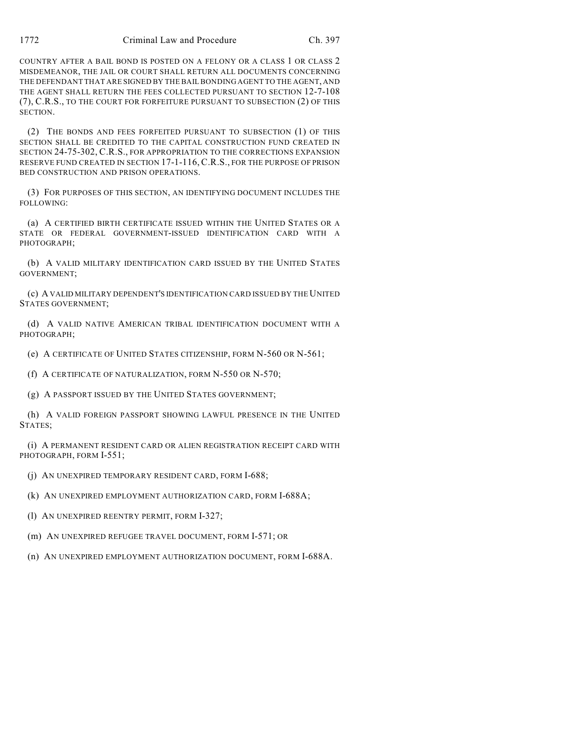COUNTRY AFTER A BAIL BOND IS POSTED ON A FELONY OR A CLASS 1 OR CLASS 2 MISDEMEANOR, THE JAIL OR COURT SHALL RETURN ALL DOCUMENTS CONCERNING THE DEFENDANT THAT ARE SIGNED BY THE BAIL BONDING AGENT TO THE AGENT, AND THE AGENT SHALL RETURN THE FEES COLLECTED PURSUANT TO SECTION 12-7-108 (7), C.R.S., TO THE COURT FOR FORFEITURE PURSUANT TO SUBSECTION (2) OF THIS SECTION.

(2) THE BONDS AND FEES FORFEITED PURSUANT TO SUBSECTION (1) OF THIS SECTION SHALL BE CREDITED TO THE CAPITAL CONSTRUCTION FUND CREATED IN SECTION 24-75-302, C.R.S., FOR APPROPRIATION TO THE CORRECTIONS EXPANSION RESERVE FUND CREATED IN SECTION 17-1-116, C.R.S., FOR THE PURPOSE OF PRISON BED CONSTRUCTION AND PRISON OPERATIONS.

(3) FOR PURPOSES OF THIS SECTION, AN IDENTIFYING DOCUMENT INCLUDES THE FOLLOWING:

(a) A CERTIFIED BIRTH CERTIFICATE ISSUED WITHIN THE UNITED STATES OR A STATE OR FEDERAL GOVERNMENT-ISSUED IDENTIFICATION CARD WITH A PHOTOGRAPH;

(b) A VALID MILITARY IDENTIFICATION CARD ISSUED BY THE UNITED STATES GOVERNMENT;

(c) A VALID MILITARY DEPENDENT'S IDENTIFICATION CARD ISSUED BY THE UNITED STATES GOVERNMENT;

(d) A VALID NATIVE AMERICAN TRIBAL IDENTIFICATION DOCUMENT WITH A PHOTOGRAPH;

(e) A CERTIFICATE OF UNITED STATES CITIZENSHIP, FORM N-560 OR N-561;

(f) A CERTIFICATE OF NATURALIZATION, FORM N-550 OR N-570;

(g) A PASSPORT ISSUED BY THE UNITED STATES GOVERNMENT;

(h) A VALID FOREIGN PASSPORT SHOWING LAWFUL PRESENCE IN THE UNITED STATES;

(i) A PERMANENT RESIDENT CARD OR ALIEN REGISTRATION RECEIPT CARD WITH PHOTOGRAPH, FORM I-551;

(j) AN UNEXPIRED TEMPORARY RESIDENT CARD, FORM I-688;

(k) AN UNEXPIRED EMPLOYMENT AUTHORIZATION CARD, FORM I-688A;

(l) AN UNEXPIRED REENTRY PERMIT, FORM I-327;

(m) AN UNEXPIRED REFUGEE TRAVEL DOCUMENT, FORM I-571; OR

(n) AN UNEXPIRED EMPLOYMENT AUTHORIZATION DOCUMENT, FORM I-688A.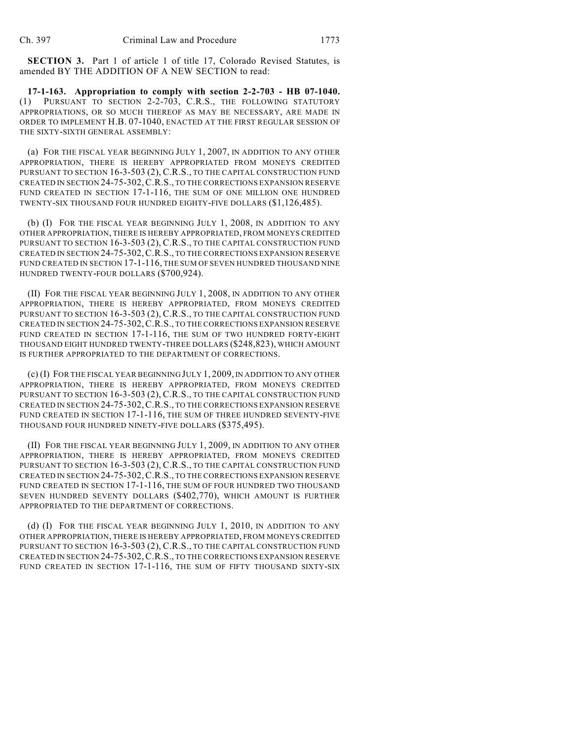**SECTION 3.** Part 1 of article 1 of title 17, Colorado Revised Statutes, is amended BY THE ADDITION OF A NEW SECTION to read:

**17-1-163. Appropriation to comply with section 2-2-703 - HB 07-1040.** (1) PURSUANT TO SECTION 2-2-703, C.R.S., THE FOLLOWING STATUTORY APPROPRIATIONS, OR SO MUCH THEREOF AS MAY BE NECESSARY, ARE MADE IN ORDER TO IMPLEMENT H.B. 07-1040, ENACTED AT THE FIRST REGULAR SESSION OF THE SIXTY-SIXTH GENERAL ASSEMBLY:

(a) FOR THE FISCAL YEAR BEGINNING JULY 1, 2007, IN ADDITION TO ANY OTHER APPROPRIATION, THERE IS HEREBY APPROPRIATED FROM MONEYS CREDITED PURSUANT TO SECTION 16-3-503 (2), C.R.S., TO THE CAPITAL CONSTRUCTION FUND CREATED IN SECTION 24-75-302,C.R.S., TO THE CORRECTIONS EXPANSION RESERVE FUND CREATED IN SECTION 17-1-116, THE SUM OF ONE MILLION ONE HUNDRED TWENTY-SIX THOUSAND FOUR HUNDRED EIGHTY-FIVE DOLLARS (\$1,126,485).

(b) (I) FOR THE FISCAL YEAR BEGINNING JULY 1, 2008, IN ADDITION TO ANY OTHER APPROPRIATION, THERE IS HEREBY APPROPRIATED, FROM MONEYS CREDITED PURSUANT TO SECTION 16-3-503 (2), C.R.S., TO THE CAPITAL CONSTRUCTION FUND CREATED IN SECTION 24-75-302,C.R.S., TO THE CORRECTIONS EXPANSION RESERVE FUND CREATED IN SECTION 17-1-116, THE SUM OF SEVEN HUNDRED THOUSAND NINE HUNDRED TWENTY-FOUR DOLLARS (\$700,924).

(II) FOR THE FISCAL YEAR BEGINNING JULY 1, 2008, IN ADDITION TO ANY OTHER APPROPRIATION, THERE IS HEREBY APPROPRIATED, FROM MONEYS CREDITED PURSUANT TO SECTION 16-3-503 (2), C.R.S., TO THE CAPITAL CONSTRUCTION FUND CREATED IN SECTION 24-75-302,C.R.S., TO THE CORRECTIONS EXPANSION RESERVE FUND CREATED IN SECTION 17-1-116, THE SUM OF TWO HUNDRED FORTY-EIGHT THOUSAND EIGHT HUNDRED TWENTY-THREE DOLLARS (\$248,823), WHICH AMOUNT IS FURTHER APPROPRIATED TO THE DEPARTMENT OF CORRECTIONS.

(c) (I) FOR THE FISCAL YEAR BEGINNING JULY 1, 2009, IN ADDITION TO ANY OTHER APPROPRIATION, THERE IS HEREBY APPROPRIATED, FROM MONEYS CREDITED PURSUANT TO SECTION 16-3-503 (2), C.R.S., TO THE CAPITAL CONSTRUCTION FUND CREATED IN SECTION 24-75-302,C.R.S., TO THE CORRECTIONS EXPANSION RESERVE FUND CREATED IN SECTION 17-1-116, THE SUM OF THREE HUNDRED SEVENTY-FIVE THOUSAND FOUR HUNDRED NINETY-FIVE DOLLARS (\$375,495).

(II) FOR THE FISCAL YEAR BEGINNING JULY 1, 2009, IN ADDITION TO ANY OTHER APPROPRIATION, THERE IS HEREBY APPROPRIATED, FROM MONEYS CREDITED PURSUANT TO SECTION 16-3-503 (2), C.R.S., TO THE CAPITAL CONSTRUCTION FUND CREATED IN SECTION 24-75-302,C.R.S., TO THE CORRECTIONS EXPANSION RESERVE FUND CREATED IN SECTION 17-1-116, THE SUM OF FOUR HUNDRED TWO THOUSAND SEVEN HUNDRED SEVENTY DOLLARS (\$402,770), WHICH AMOUNT IS FURTHER APPROPRIATED TO THE DEPARTMENT OF CORRECTIONS.

(d) (I) FOR THE FISCAL YEAR BEGINNING JULY 1, 2010, IN ADDITION TO ANY OTHER APPROPRIATION, THERE IS HEREBY APPROPRIATED, FROM MONEYS CREDITED PURSUANT TO SECTION 16-3-503 (2), C.R.S., TO THE CAPITAL CONSTRUCTION FUND CREATED IN SECTION 24-75-302,C.R.S., TO THE CORRECTIONS EXPANSION RESERVE FUND CREATED IN SECTION 17-1-116, THE SUM OF FIFTY THOUSAND SIXTY-SIX